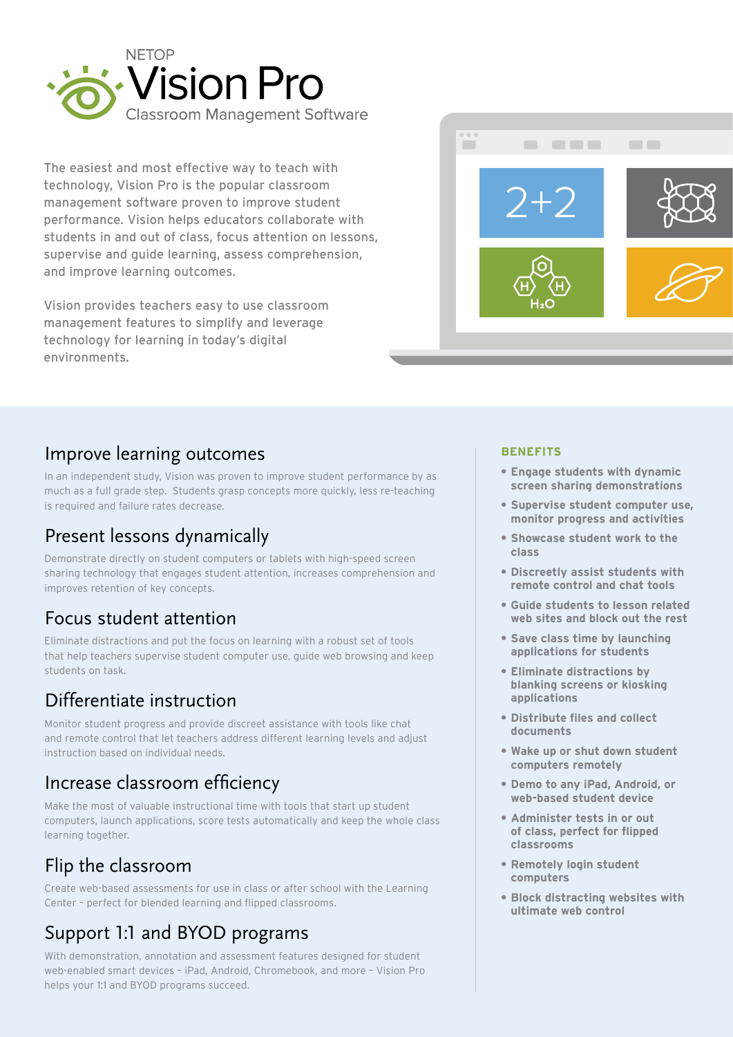

The easiest and most effective way to teach with technology, Vision Pro is the popular classroom management software proven to improve student performance. Vision helps educators collaborate with students in and out of class, focus attention on lessons, supervise and guide learning, assess comprehension, and improve learning outcomes.

Vision provides teachers easy to use classroom management features to simplify and leverage technology for learning in today's digital environments.



# Improve learning outcomes

In an independent study, Vision was proven to improve student performance by as much as a full grade step. Students grasp concepts more quickly, less re-teaching is required and failure rates decrease.

# Present lessons dynamically

Demonstrate directly on student computers or tablets with high-speed screen sharing technology that engages student attention, increases comprehension and improves retention of key concepts.

# Focus student attention

Eliminate distractions and put the focus on learning with a robust set of tools that help teachers supervise student computer use, guide web browsing and keep students on task.

# Differentiate instruction

Monitor student progress and provide discreet assistance with tools like chat and remote control that let teachers address different learning levels and adjust instruction based on individual needs.

# Increase classroom efficiency

Make the most of valuable instructional time with tools that start up student computers, launch applications, score tests automatically and keep the whole class learning together.

# Flip the classroom

Create web-based assessments for use in class or after school with the Learning Center – perfect for blended learning and flipped classrooms.

# Support 1:1 and BYOD programs

With demonstration, annotation and assessment features designed for student web-enabled smart devices – iPad, Android, Chromebook, and more – Vision Pro helps your 1:1 and BYOD programs succeed.

#### **BENEFITS**

- **• Engage students with dynamic screen sharing demonstrations**
- **• Supervise student computer use, monitor progress and activities**
- **• Showcase student work to the class**
- **• Discreetly assist students with remote control and chat tools**
- **• Guide students to lesson related web sites and block out the rest**
- **• Save class time by launching applications for students**
- **• Eliminate distractions by blanking screens or kiosking applications**
- **• Distribute files and collect documents**
- **• Wake up or shut down student computers remotely**
- **• Demo to any iPad, Android, or web-based student device**
- **• Administer tests in or out of class, perfect for flipped classrooms**
- **• Remotely login student computers**
- **• Block distracting websites with ultimate web control**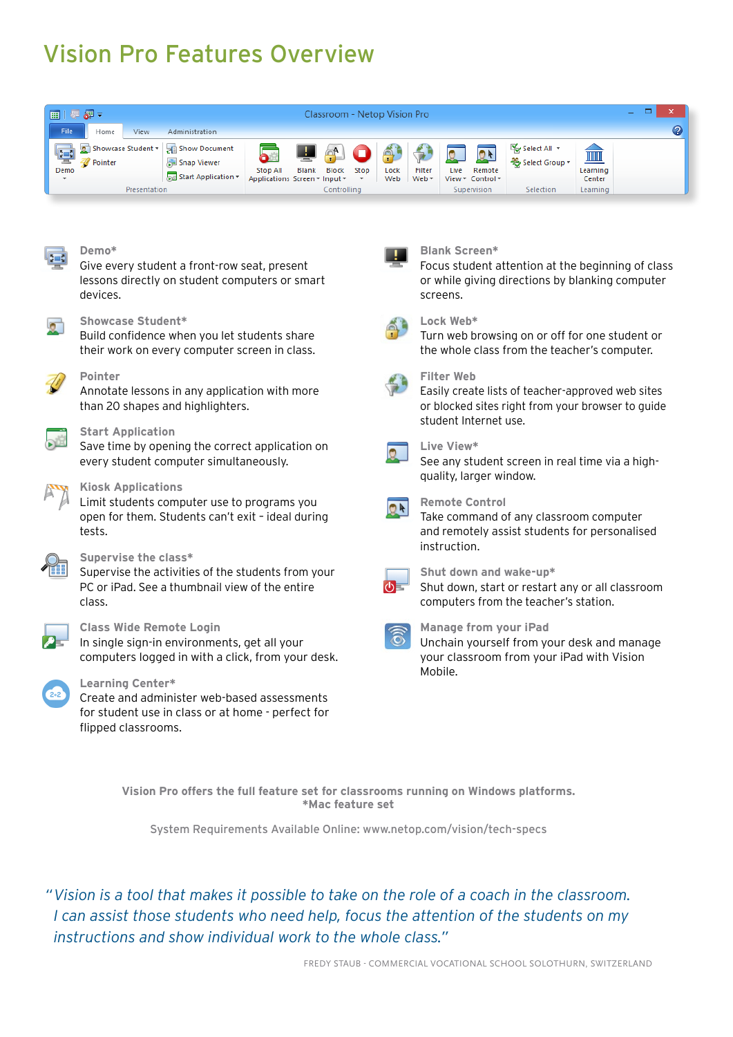# Vision Pro Features Overview





#### **Demo\***

Give every student a front-row seat, present lessons directly on student computers or smart devices.



#### **Showcase Student\***

Build confidence when you let students share their work on every computer screen in class.



### **Pointer**

Annotate lessons in any application with more than 20 shapes and highlighters.



Save time by opening the correct application on every student computer simultaneously.



#### **Kiosk Applications**

Limit students computer use to programs you open for them. Students can't exit – ideal during tests.



#### **Supervise the class\***

Supervise the activities of the students from your PC or iPad. See a thumbnail view of the entire class.



#### **Class Wide Remote Login**

In single sign-in environments, get all your computers logged in with a click, from your desk.



#### **Learning Center\***

Create and administer web-based assessments for student use in class or at home - perfect for flipped classrooms.



#### **Blank Screen\***

Focus student attention at the beginning of class or while giving directions by blanking computer screens.



#### **Lock Web\***

Turn web browsing on or off for one student or the whole class from the teacher's computer.



#### **Filter Web**

Easily create lists of teacher-approved web sites or blocked sites right from your browser to guide student Internet use.

#### **Live View\***

See any student screen in real time via a highquality, larger window.



#### **Remote Control**

Take command of any classroom computer and remotely assist students for personalised instruction.



**Shut down and wake-up\***

Shut down, start or restart any or all classroom computers from the teacher's station.



### **Manage from your iPad** Unchain yourself from your desk and manage

your classroom from your iPad with Vision Mobile.

**Vision Pro offers the full feature set for classrooms running on Windows platforms. \*Mac feature set**

System Requirements Available Online: www.netop.com/vision/tech-specs

*"Vision is a tool that makes it possible to take on the role of a coach in the classroom. I can assist those students who need help, focus the attention of the students on my instructions and show individual work to the whole class."*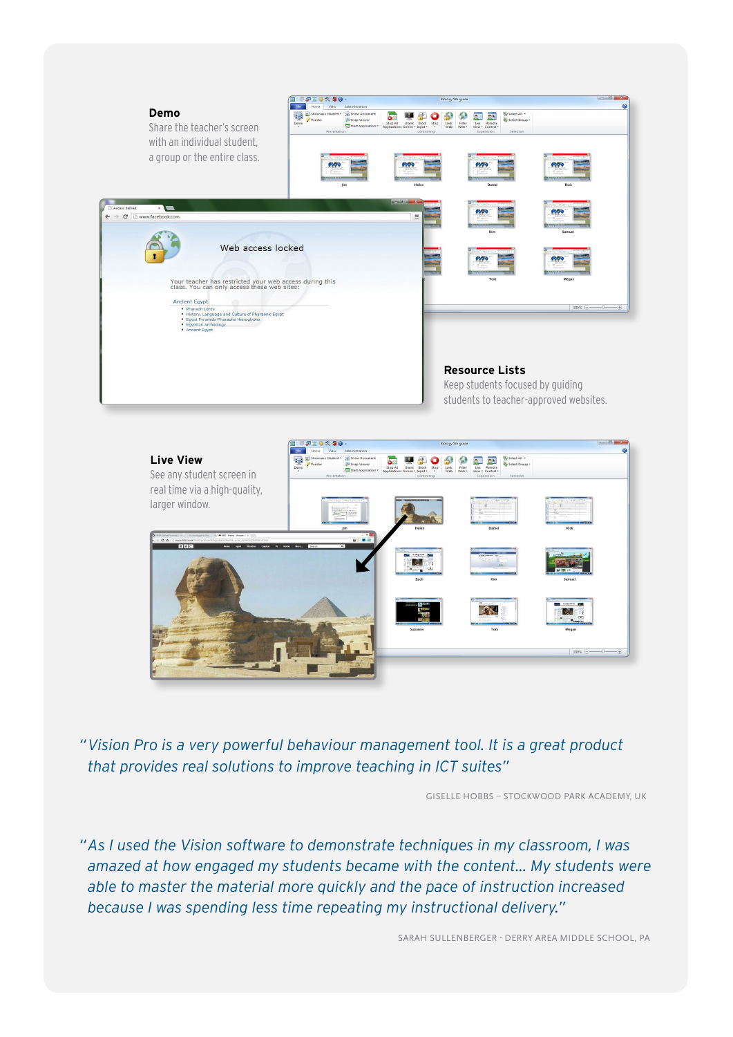



*"Vision Pro is a very powerful behaviour management tool. It is a great product that provides real solutions to improve teaching in ICT suites"*

GISELLE HOBBS – STOCKWOOD PARK ACADEMY, UK

*"As I used the Vision software to demonstrate techniques in my classroom, I was amazed at how engaged my students became with the content… My students were able to master the material more quickly and the pace of instruction increased because I was spending less time repeating my instructional delivery."*

SARAH SULLENBERGER - DERRY AREA MIDDLE SCHOOL, PA